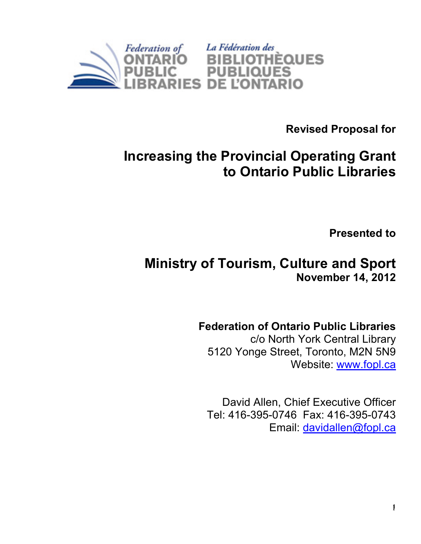

Revised Proposal for

# Increasing the Provincial Operating Grant to Ontario Public Libraries

Presented to

## Ministry of Tourism, Culture and Sport November 14, 2012

### Federation of Ontario Public Libraries

c/o North York Central Library 5120 Yonge Street, Toronto, M2N 5N9 Website: www.fopl.ca

David Allen, Chief Executive Officer Tel: 416-395-0746 Fax: 416-395-0743 Email: davidallen@fopl.ca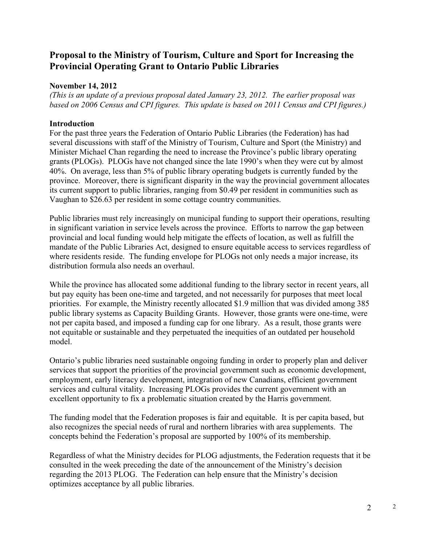#### Proposal to the Ministry of Tourism, Culture and Sport for Increasing the Provincial Operating Grant to Ontario Public Libraries

#### November 14, 2012

(This is an update of a previous proposal dated January 23, 2012. The earlier proposal was based on 2006 Census and CPI figures. This update is based on 2011 Census and CPI figures.)

#### Introduction

For the past three years the Federation of Ontario Public Libraries (the Federation) has had several discussions with staff of the Ministry of Tourism, Culture and Sport (the Ministry) and Minister Michael Chan regarding the need to increase the Province's public library operating grants (PLOGs). PLOGs have not changed since the late 1990's when they were cut by almost 40%. On average, less than 5% of public library operating budgets is currently funded by the province. Moreover, there is significant disparity in the way the provincial government allocates its current support to public libraries, ranging from \$0.49 per resident in communities such as Vaughan to \$26.63 per resident in some cottage country communities.

Public libraries must rely increasingly on municipal funding to support their operations, resulting in significant variation in service levels across the province. Efforts to narrow the gap between provincial and local funding would help mitigate the effects of location, as well as fulfill the mandate of the Public Libraries Act, designed to ensure equitable access to services regardless of where residents reside. The funding envelope for PLOGs not only needs a major increase, its distribution formula also needs an overhaul.

While the province has allocated some additional funding to the library sector in recent years, all but pay equity has been one-time and targeted, and not necessarily for purposes that meet local priorities. For example, the Ministry recently allocated \$1.9 million that was divided among 385 public library systems as Capacity Building Grants. However, those grants were one-time, were not per capita based, and imposed a funding cap for one library. As a result, those grants were not equitable or sustainable and they perpetuated the inequities of an outdated per household model.

Ontario's public libraries need sustainable ongoing funding in order to properly plan and deliver services that support the priorities of the provincial government such as economic development, employment, early literacy development, integration of new Canadians, efficient government services and cultural vitality. Increasing PLOGs provides the current government with an excellent opportunity to fix a problematic situation created by the Harris government.

The funding model that the Federation proposes is fair and equitable. It is per capita based, but also recognizes the special needs of rural and northern libraries with area supplements. The concepts behind the Federation's proposal are supported by 100% of its membership.

Regardless of what the Ministry decides for PLOG adjustments, the Federation requests that it be consulted in the week preceding the date of the announcement of the Ministry's decision regarding the 2013 PLOG. The Federation can help ensure that the Ministry's decision optimizes acceptance by all public libraries.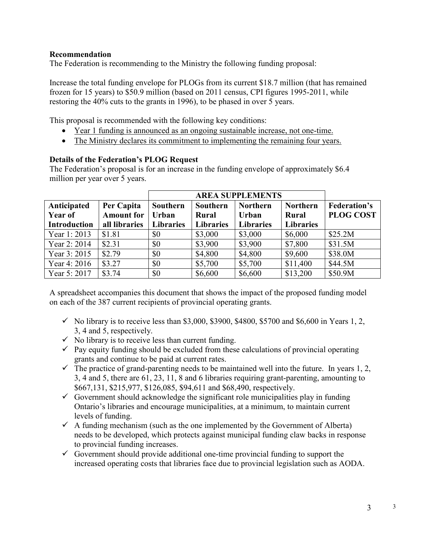#### Recommendation

The Federation is recommending to the Ministry the following funding proposal:

Increase the total funding envelope for PLOGs from its current \$18.7 million (that has remained frozen for 15 years) to \$50.9 million (based on 2011 census, CPI figures 1995-2011, while restoring the 40% cuts to the grants in 1996), to be phased in over 5 years.

This proposal is recommended with the following key conditions:

- Year 1 funding is announced as an ongoing sustainable increase, not one-time.
- The Ministry declares its commitment to implementing the remaining four years.

#### Details of the Federation's PLOG Request

The Federation's proposal is for an increase in the funding envelope of approximately \$6.4 million per year over 5 years.

| Anticipated<br>Year of | Per Capita<br><b>Amount for</b> | <b>Southern</b><br>Urban | Southern<br><b>Rural</b> | <b>Northern</b><br>Urban | <b>Northern</b><br>Rural | <b>Federation's</b><br><b>PLOG COST</b> |
|------------------------|---------------------------------|--------------------------|--------------------------|--------------------------|--------------------------|-----------------------------------------|
| <b>Introduction</b>    | all libraries                   | <b>Libraries</b>         | <b>Libraries</b>         | <b>Libraries</b>         | <b>Libraries</b>         |                                         |
| Year 1: 2013           | \$1.81                          | \$0                      | \$3,000                  | \$3,000                  | \$6,000                  | \$25.2M                                 |
| Year 2: 2014           | \$2.31                          | \$0                      | \$3,900                  | \$3,900                  | \$7,800                  | \$31.5M                                 |
| Year 3: 2015           | \$2.79                          | \$0                      | \$4,800                  | \$4,800                  | \$9,600                  | \$38.0M                                 |
| Year 4: 2016           | \$3.27                          | \$0                      | \$5,700                  | \$5,700                  | \$11,400                 | \$44.5M                                 |
| Year 5: 2017           | \$3.74                          | \$0                      | \$6,600                  | \$6,600                  | \$13,200                 | \$50.9M                                 |

A spreadsheet accompanies this document that shows the impact of the proposed funding model on each of the 387 current recipients of provincial operating grants.

- $\checkmark$  No library is to receive less than \$3,000, \$3900, \$4800, \$5700 and \$6,600 in Years 1, 2, 3, 4 and 5, respectively.
- $\checkmark$  No library is to receive less than current funding.
- $\checkmark$  Pay equity funding should be excluded from these calculations of provincial operating grants and continue to be paid at current rates.
- $\checkmark$  The practice of grand-parenting needs to be maintained well into the future. In years 1, 2, 3, 4 and 5, there are 61, 23, 11, 8 and 6 libraries requiring grant-parenting, amounting to \$667,131, \$215,977, \$126,085, \$94,611 and \$68,490, respectively.
- $\checkmark$  Government should acknowledge the significant role municipalities play in funding Ontario's libraries and encourage municipalities, at a minimum, to maintain current levels of funding.
- $\checkmark$  A funding mechanism (such as the one implemented by the Government of Alberta) needs to be developed, which protects against municipal funding claw backs in response to provincial funding increases.
- $\checkmark$  Government should provide additional one-time provincial funding to support the increased operating costs that libraries face due to provincial legislation such as AODA.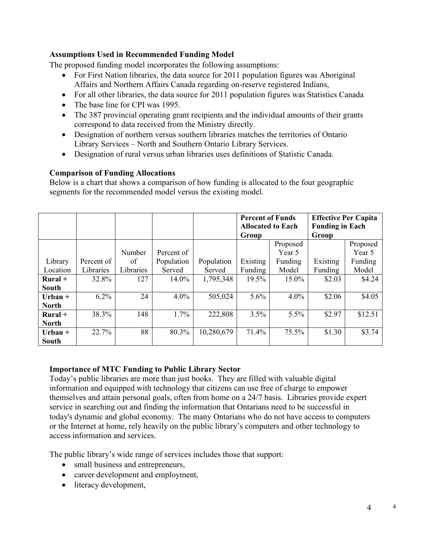#### Assumptions Used in Recommended Funding Model

The proposed funding model incorporates the following assumptions:

- For First Nation libraries, the data source for 2011 population figures was Aboriginal Affairs and Northern Affairs Canada regarding on-reserve registered Indians,
- For all other libraries, the data source for 2011 population figures was Statistics Canada
- The base line for CPI was 1995.
- The 387 provincial operating grant recipients and the individual amounts of their grants correspond to data received from the Ministry directly.
- Designation of northern versus southern libraries matches the territories of Ontario Library Services – North and Southern Ontario Library Services.
- Designation of rural versus urban libraries uses definitions of Statistic Canada.

#### Comparison of Funding Allocations

Below is a chart that shows a comparison of how funding is allocated to the four geographic segments for the recommended model versus the existing model.

|              |            |           |            |            | <b>Percent of Funds</b><br><b>Allocated to Each</b> |          | <b>Effective Per Capita</b><br><b>Funding in Each</b> |          |
|--------------|------------|-----------|------------|------------|-----------------------------------------------------|----------|-------------------------------------------------------|----------|
|              |            |           |            |            | Group                                               |          | Group                                                 |          |
|              |            |           |            |            |                                                     | Proposed |                                                       | Proposed |
|              |            | Number    | Percent of |            |                                                     | Year 5   |                                                       | Year 5   |
| Library      | Percent of | of        | Population | Population | Existing                                            | Funding  | Existing                                              | Funding  |
| Location     | Libraries  | Libraries | Served     | Served     | Funding                                             | Model    | Funding                                               | Model    |
| $Rural +$    | 32.8%      | 127       | 14.0%      | 1,795,348  | 19.5%                                               | 15.0%    | \$2.03                                                | \$4.24   |
| <b>South</b> |            |           |            |            |                                                     |          |                                                       |          |
| $Urban +$    | 6.2%       | 24        | $4.0\%$    | 505,024    | 5.6%                                                | $4.0\%$  | \$2.06                                                | \$4.05   |
| <b>North</b> |            |           |            |            |                                                     |          |                                                       |          |
| $Rural +$    | 38.3%      | 148       | 1.7%       | 222,808    | 3.5%                                                | 5.5%     | \$2.97                                                | \$12.51  |
| <b>North</b> |            |           |            |            |                                                     |          |                                                       |          |
| $Urban +$    | 22.7%      | 88        | 80.3%      | 10,280,679 | 71.4%                                               | 75.5%    | \$1.30                                                | \$3.74   |
| South        |            |           |            |            |                                                     |          |                                                       |          |

#### Importance of MTC Funding to Public Library Sector

Today's public libraries are more than just books. They are filled with valuable digital information and equipped with technology that citizens can use free of charge to empower themselves and attain personal goals, often from home on a 24/7 basis. Libraries provide expert service in searching out and finding the information that Ontarians need to be successful in today's dynamic and global economy. The many Ontarians who do not have access to computers or the Internet at home, rely heavily on the public library's computers and other technology to access information and services.

The public library's wide range of services includes those that support:

- small business and entrepreneurs,
- career development and employment,
- literacy development,